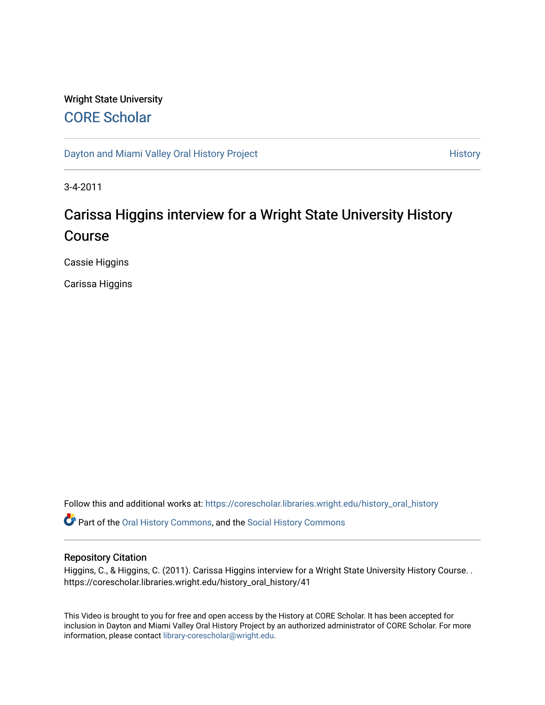## Wright State University [CORE Scholar](https://corescholar.libraries.wright.edu/)

[Dayton and Miami Valley Oral History Project](https://corescholar.libraries.wright.edu/history_oral_history) **History** History

3-4-2011

# Carissa Higgins interview for a Wright State University History Course

Cassie Higgins

Carissa Higgins

Follow this and additional works at: [https://corescholar.libraries.wright.edu/history\\_oral\\_history](https://corescholar.libraries.wright.edu/history_oral_history?utm_source=corescholar.libraries.wright.edu%2Fhistory_oral_history%2F41&utm_medium=PDF&utm_campaign=PDFCoverPages) 

Part of the [Oral History Commons](http://network.bepress.com/hgg/discipline/1195?utm_source=corescholar.libraries.wright.edu%2Fhistory_oral_history%2F41&utm_medium=PDF&utm_campaign=PDFCoverPages), and the [Social History Commons](http://network.bepress.com/hgg/discipline/506?utm_source=corescholar.libraries.wright.edu%2Fhistory_oral_history%2F41&utm_medium=PDF&utm_campaign=PDFCoverPages)

## Repository Citation

Higgins, C., & Higgins, C. (2011). Carissa Higgins interview for a Wright State University History Course. . https://corescholar.libraries.wright.edu/history\_oral\_history/41

This Video is brought to you for free and open access by the History at CORE Scholar. It has been accepted for inclusion in Dayton and Miami Valley Oral History Project by an authorized administrator of CORE Scholar. For more information, please contact [library-corescholar@wright.edu.](mailto:library-corescholar@wright.edu)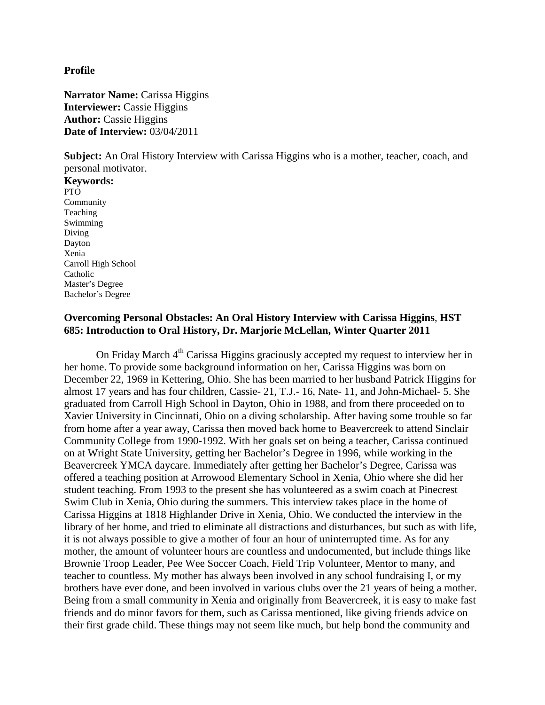**Profile**

**Narrator Name:** Carissa Higgins **Interviewer:** Cassie Higgins **Author: Cassie Higgins Date of Interview: 03/04/2011** 

**Subject:** An Oral History Interview with Carissa Higgins who is a mother, teacher, coach, and personal motivator.

**Keywords:** PTO Community Teaching Swimming Diving Dayton Xenia Carroll High School Catholic Master's Degree Bachelor's Degree

## **Overcoming Personal Obstacles: An Oral History Interview with Carissa Higgins**, **HST 685: Introduction to Oral History, Dr. Marjorie McLellan, Winter Quarter 2011**

On Friday March 4<sup>th</sup> Carissa Higgins graciously accepted my request to interview her in her home. To provide some background information on her, Carissa Higgins was born on December 22, 1969 in Kettering, Ohio. She has been married to her husband Patrick Higgins for almost 17 years and has four children, Cassie- 21, T.J.- 16, Nate- 11, and John-Michael- 5. She graduated from Carroll High School in Dayton, Ohio in 1988, and from there proceeded on to Xavier University in Cincinnati, Ohio on a diving scholarship. After having some trouble so far from home after a year away, Carissa then moved back home to Beavercreek to attend Sinclair Community College from 1990-1992. With her goals set on being a teacher, Carissa continued on at Wright State University, getting her Bachelor's Degree in 1996, while working in the Beavercreek YMCA daycare. Immediately after getting her Bachelor's Degree, Carissa was offered a teaching position at Arrowood Elementary School in Xenia, Ohio where she did her student teaching. From 1993 to the present she has volunteered as a swim coach at Pinecrest Swim Club in Xenia, Ohio during the summers. This interview takes place in the home of Carissa Higgins at 1818 Highlander Drive in Xenia, Ohio. We conducted the interview in the library of her home, and tried to eliminate all distractions and disturbances, but such as with life, it is not always possible to give a mother of four an hour of uninterrupted time. As for any mother, the amount of volunteer hours are countless and undocumented, but include things like Brownie Troop Leader, Pee Wee Soccer Coach, Field Trip Volunteer, Mentor to many, and teacher to countless. My mother has always been involved in any school fundraising I, or my brothers have ever done, and been involved in various clubs over the 21 years of being a mother. Being from a small community in Xenia and originally from Beavercreek, it is easy to make fast friends and do minor favors for them, such as Carissa mentioned, like giving friends advice on their first grade child. These things may not seem like much, but help bond the community and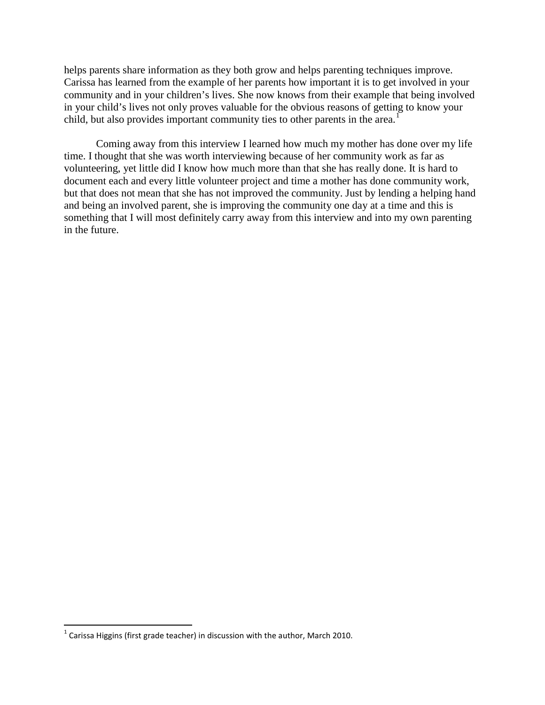helps parents share information as they both grow and helps parenting techniques improve. Carissa has learned from the example of her parents how important it is to get involved in your community and in your children's lives. She now knows from their example that being involved in your child's lives not only proves valuable for the obvious reasons of getting to know your child, but also provides important community ties to other parents in the area.<sup>1</sup>

Coming away from this interview I learned how much my mother has done over my life time. I thought that she was worth interviewing because of her community work as far as volunteering, yet little did I know how much more than that she has really done. It is hard to document each and every little volunteer project and time a mother has done community work, but that does not mean that she has not improved the community. Just by lending a helping hand and being an involved parent, she is improving the community one day at a time and this is something that I will most definitely carry away from this interview and into my own parenting in the future.

 $1$  Carissa Higgins (first grade teacher) in discussion with the author, March 2010.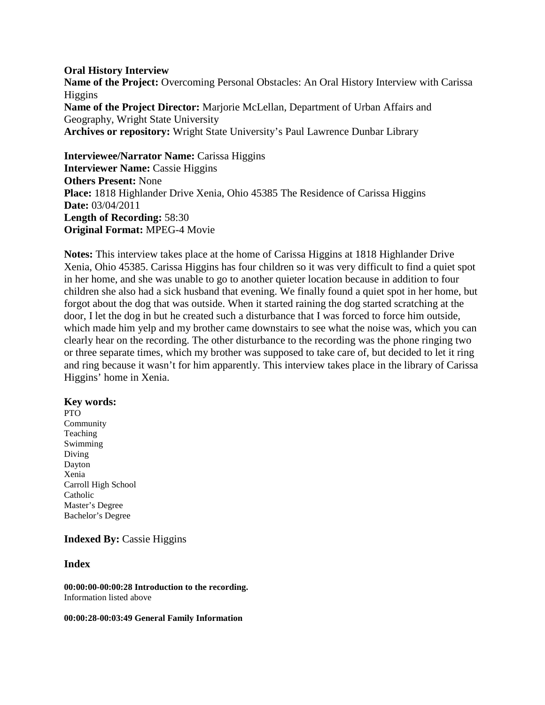## **Oral History Interview**

**Name of the Project:** Overcoming Personal Obstacles: An Oral History Interview with Carissa Higgins **Name of the Project Director:** Marjorie McLellan, Department of Urban Affairs and Geography, Wright State University **Archives or repository:** Wright State University's Paul Lawrence Dunbar Library

## **Interviewee/Narrator Name: Carissa Higgins**

**Interviewer Name:** Cassie Higgins **Others Present:** None **Place:** 1818 Highlander Drive Xenia, Ohio 45385 The Residence of Carissa Higgins **Date:** 03/04/2011 **Length of Recording:** 58:30 **Original Format:** MPEG-4 Movie

**Notes:** This interview takes place at the home of Carissa Higgins at 1818 Highlander Drive Xenia, Ohio 45385. Carissa Higgins has four children so it was very difficult to find a quiet spot in her home, and she was unable to go to another quieter location because in addition to four children she also had a sick husband that evening. We finally found a quiet spot in her home, but forgot about the dog that was outside. When it started raining the dog started scratching at the door, I let the dog in but he created such a disturbance that I was forced to force him outside, which made him yelp and my brother came downstairs to see what the noise was, which you can clearly hear on the recording. The other disturbance to the recording was the phone ringing two or three separate times, which my brother was supposed to take care of, but decided to let it ring and ring because it wasn't for him apparently. This interview takes place in the library of Carissa Higgins' home in Xenia.

## **Key words:**

PTO Community Teaching Swimming Diving Dayton Xenia Carroll High School Catholic Master's Degree Bachelor's Degree

## **Indexed By:** Cassie Higgins

## **Index**

**00:00:00-00:00:28 Introduction to the recording.** Information listed above

#### **00:00:28-00:03:49 General Family Information**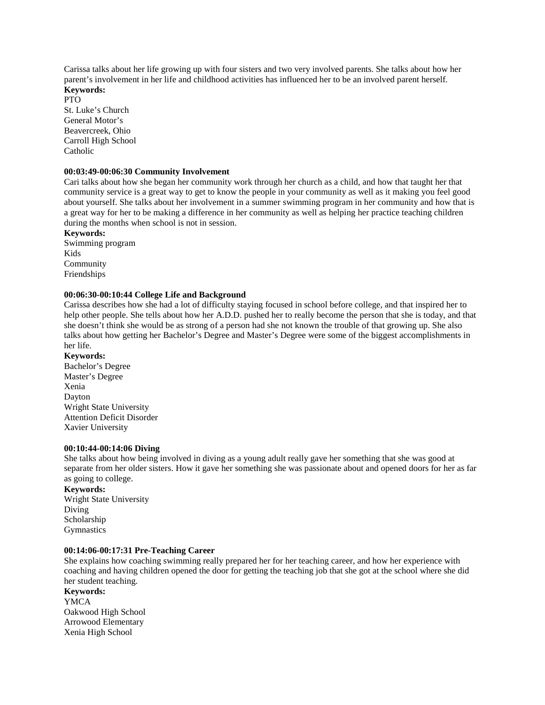Carissa talks about her life growing up with four sisters and two very involved parents. She talks about how her parent's involvement in her life and childhood activities has influenced her to be an involved parent herself. **Keywords:**

## PTO

St. Luke's Church General Motor's Beavercreek, Ohio Carroll High School Catholic

#### **00:03:49-00:06:30 Community Involvement**

Cari talks about how she began her community work through her church as a child, and how that taught her that community service is a great way to get to know the people in your community as well as it making you feel good about yourself. She talks about her involvement in a summer swimming program in her community and how that is a great way for her to be making a difference in her community as well as helping her practice teaching children during the months when school is not in session.

**Keywords:**

Swimming program Kids Community Friendships

#### **00:06:30-00:10:44 College Life and Background**

Carissa describes how she had a lot of difficulty staying focused in school before college, and that inspired her to help other people. She tells about how her A.D.D. pushed her to really become the person that she is today, and that she doesn't think she would be as strong of a person had she not known the trouble of that growing up. She also talks about how getting her Bachelor's Degree and Master's Degree were some of the biggest accomplishments in her life.

#### **Keywords:**

Bachelor's Degree Master's Degree Xenia Dayton Wright State University Attention Deficit Disorder Xavier University

#### **00:10:44-00:14:06 Diving**

She talks about how being involved in diving as a young adult really gave her something that she was good at separate from her older sisters. How it gave her something she was passionate about and opened doors for her as far as going to college.

**Keywords:** Wright State University Diving Scholarship **Gymnastics** 

#### **00:14:06-00:17:31 Pre-Teaching Career**

She explains how coaching swimming really prepared her for her teaching career, and how her experience with coaching and having children opened the door for getting the teaching job that she got at the school where she did her student teaching.

**Keywords:** YMCA Oakwood High School Arrowood Elementary Xenia High School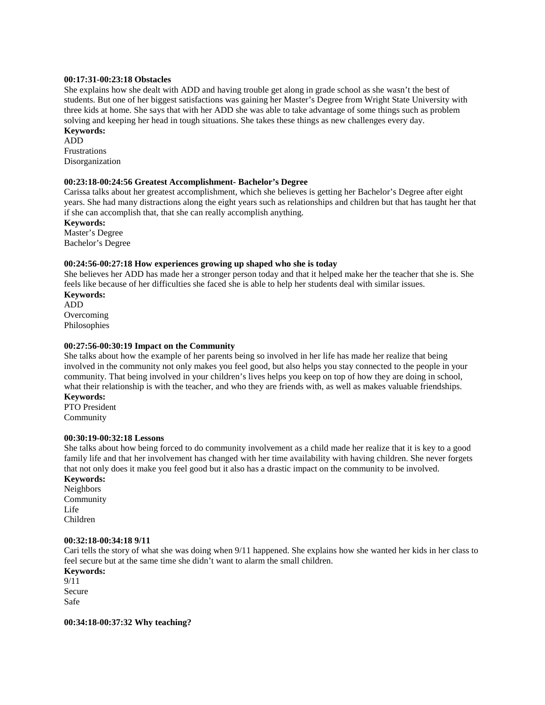#### **00:17:31-00:23:18 Obstacles**

She explains how she dealt with ADD and having trouble get along in grade school as she wasn't the best of students. But one of her biggest satisfactions was gaining her Master's Degree from Wright State University with three kids at home. She says that with her ADD she was able to take advantage of some things such as problem solving and keeping her head in tough situations. She takes these things as new challenges every day. **Keywords:**

ADD Frustrations Disorganization

#### **00:23:18-00:24:56 Greatest Accomplishment- Bachelor's Degree**

Carissa talks about her greatest accomplishment, which she believes is getting her Bachelor's Degree after eight years. She had many distractions along the eight years such as relationships and children but that has taught her that if she can accomplish that, that she can really accomplish anything.

**Keywords:** Master's Degree

Bachelor's Degree

#### **00:24:56-00:27:18 How experiences growing up shaped who she is today**

She believes her ADD has made her a stronger person today and that it helped make her the teacher that she is. She feels like because of her difficulties she faced she is able to help her students deal with similar issues.

**Keywords:** ADD Overcoming Philosophies

#### **00:27:56-00:30:19 Impact on the Community**

She talks about how the example of her parents being so involved in her life has made her realize that being involved in the community not only makes you feel good, but also helps you stay connected to the people in your community. That being involved in your children's lives helps you keep on top of how they are doing in school, what their relationship is with the teacher, and who they are friends with, as well as makes valuable friendships. **Keywords:**

PTO President Community

#### **00:30:19-00:32:18 Lessons**

She talks about how being forced to do community involvement as a child made her realize that it is key to a good family life and that her involvement has changed with her time availability with having children. She never forgets that not only does it make you feel good but it also has a drastic impact on the community to be involved.

### **Keywords:**

Neighbors Community Life Children

#### **00:32:18-00:34:18 9/11**

Cari tells the story of what she was doing when 9/11 happened. She explains how she wanted her kids in her class to feel secure but at the same time she didn't want to alarm the small children.

**Keywords:** 9/11 Secure Safe

**00:34:18-00:37:32 Why teaching?**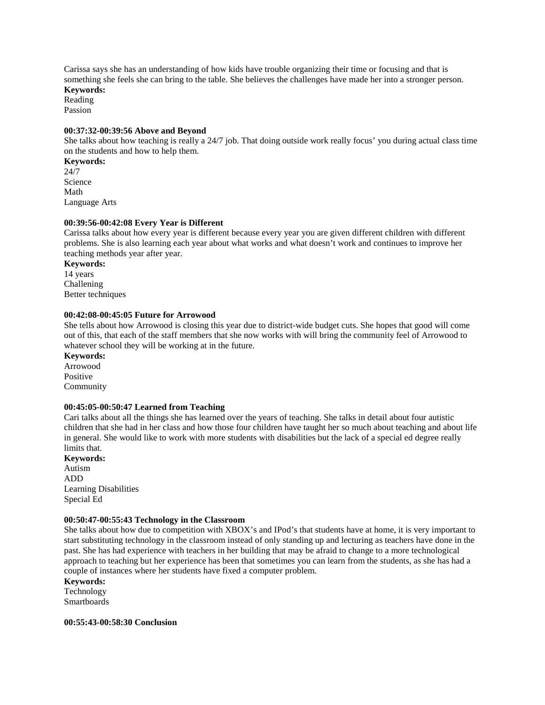Carissa says she has an understanding of how kids have trouble organizing their time or focusing and that is something she feels she can bring to the table. She believes the challenges have made her into a stronger person. **Keywords:**

Reading

Passion

#### **00:37:32-00:39:56 Above and Beyond**

She talks about how teaching is really a 24/7 job. That doing outside work really focus' you during actual class time on the students and how to help them.

**Keywords:** 24/7 Science Math Language Arts

#### **00:39:56-00:42:08 Every Year is Different**

Carissa talks about how every year is different because every year you are given different children with different problems. She is also learning each year about what works and what doesn't work and continues to improve her teaching methods year after year.

**Keywords:** 14 years Challening Better techniques

#### **00:42:08-00:45:05 Future for Arrowood**

She tells about how Arrowood is closing this year due to district-wide budget cuts. She hopes that good will come out of this, that each of the staff members that she now works with will bring the community feel of Arrowood to whatever school they will be working at in the future.

**Keywords:** Arrowood Positive Community

#### **00:45:05-00:50:47 Learned from Teaching**

Cari talks about all the things she has learned over the years of teaching. She talks in detail about four autistic children that she had in her class and how those four children have taught her so much about teaching and about life in general. She would like to work with more students with disabilities but the lack of a special ed degree really limits that.

**Keywords:** Autism ADD Learning Disabilities Special Ed

#### **00:50:47-00:55:43 Technology in the Classroom**

She talks about how due to competition with XBOX's and IPod's that students have at home, it is very important to start substituting technology in the classroom instead of only standing up and lecturing as teachers have done in the past. She has had experience with teachers in her building that may be afraid to change to a more technological approach to teaching but her experience has been that sometimes you can learn from the students, as she has had a couple of instances where her students have fixed a computer problem.

**Keywords:**

Technology Smartboards

**00:55:43-00:58:30 Conclusion**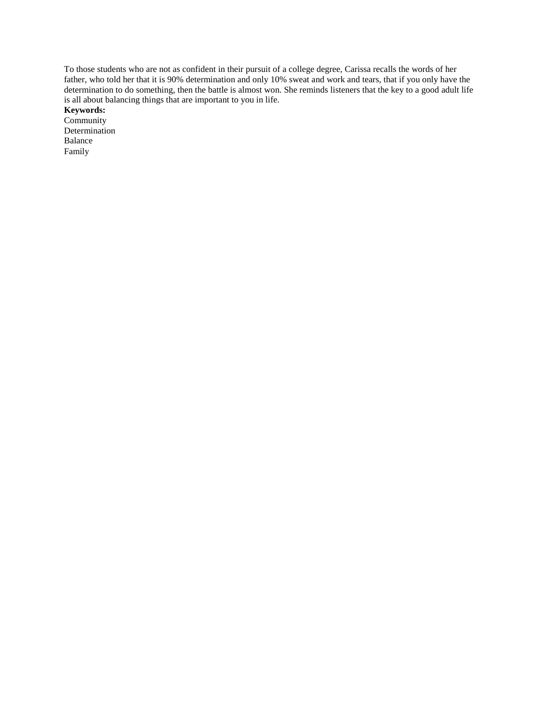To those students who are not as confident in their pursuit of a college degree, Carissa recalls the words of her father, who told her that it is 90% determination and only 10% sweat and work and tears, that if you only have the determination to do something, then the battle is almost won. She reminds listeners that the key to a good adult life is all about balancing things that are important to you in life.

**Keywords:**

Community Determination Balance Family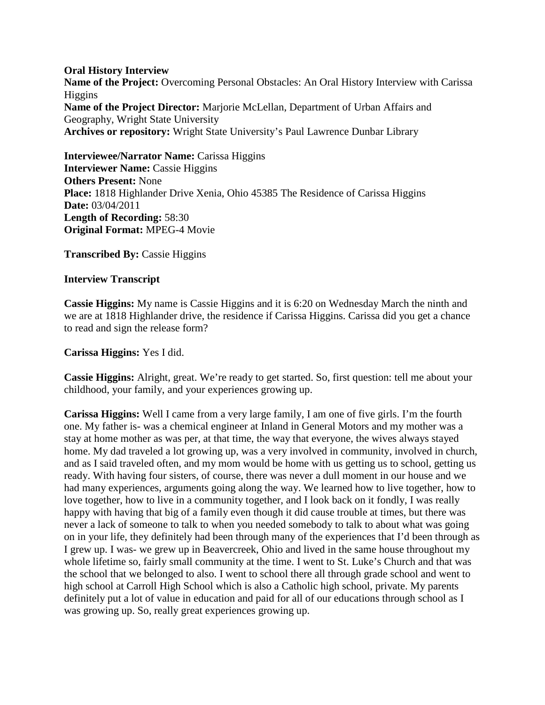## **Oral History Interview**

**Name of the Project:** Overcoming Personal Obstacles: An Oral History Interview with Carissa Higgins **Name of the Project Director:** Marjorie McLellan, Department of Urban Affairs and Geography, Wright State University **Archives or repository:** Wright State University's Paul Lawrence Dunbar Library

**Interviewee/Narrator Name: Carissa Higgins Interviewer Name:** Cassie Higgins **Others Present:** None **Place:** 1818 Highlander Drive Xenia, Ohio 45385 The Residence of Carissa Higgins **Date:** 03/04/2011 **Length of Recording:** 58:30 **Original Format:** MPEG-4 Movie

**Transcribed By: Cassie Higgins** 

## **Interview Transcript**

**Cassie Higgins:** My name is Cassie Higgins and it is 6:20 on Wednesday March the ninth and we are at 1818 Highlander drive, the residence if Carissa Higgins. Carissa did you get a chance to read and sign the release form?

**Carissa Higgins:** Yes I did.

**Cassie Higgins:** Alright, great. We're ready to get started. So, first question: tell me about your childhood, your family, and your experiences growing up.

**Carissa Higgins:** Well I came from a very large family, I am one of five girls. I'm the fourth one. My father is- was a chemical engineer at Inland in General Motors and my mother was a stay at home mother as was per, at that time, the way that everyone, the wives always stayed home. My dad traveled a lot growing up, was a very involved in community, involved in church, and as I said traveled often, and my mom would be home with us getting us to school, getting us ready. With having four sisters, of course, there was never a dull moment in our house and we had many experiences, arguments going along the way. We learned how to live together, how to love together, how to live in a community together, and I look back on it fondly, I was really happy with having that big of a family even though it did cause trouble at times, but there was never a lack of someone to talk to when you needed somebody to talk to about what was going on in your life, they definitely had been through many of the experiences that I'd been through as I grew up. I was- we grew up in Beavercreek, Ohio and lived in the same house throughout my whole lifetime so, fairly small community at the time. I went to St. Luke's Church and that was the school that we belonged to also. I went to school there all through grade school and went to high school at Carroll High School which is also a Catholic high school, private. My parents definitely put a lot of value in education and paid for all of our educations through school as I was growing up. So, really great experiences growing up.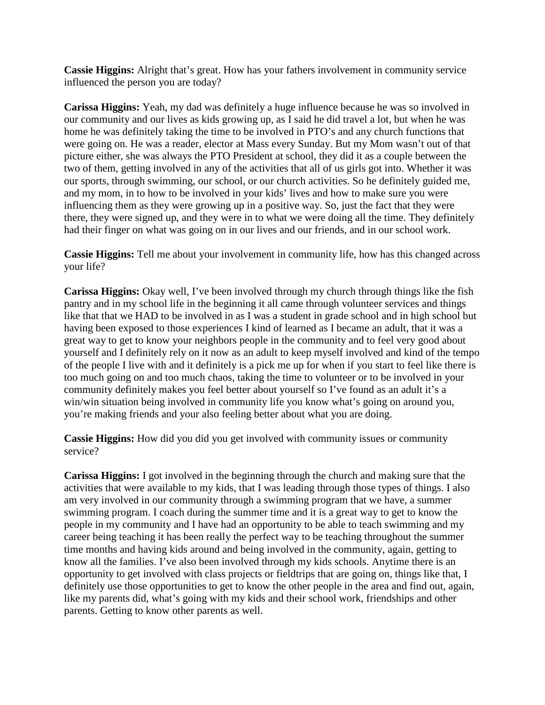**Cassie Higgins:** Alright that's great. How has your fathers involvement in community service influenced the person you are today?

**Carissa Higgins:** Yeah, my dad was definitely a huge influence because he was so involved in our community and our lives as kids growing up, as I said he did travel a lot, but when he was home he was definitely taking the time to be involved in PTO's and any church functions that were going on. He was a reader, elector at Mass every Sunday. But my Mom wasn't out of that picture either, she was always the PTO President at school, they did it as a couple between the two of them, getting involved in any of the activities that all of us girls got into. Whether it was our sports, through swimming, our school, or our church activities. So he definitely guided me, and my mom, in to how to be involved in your kids' lives and how to make sure you were influencing them as they were growing up in a positive way. So, just the fact that they were there, they were signed up, and they were in to what we were doing all the time. They definitely had their finger on what was going on in our lives and our friends, and in our school work.

**Cassie Higgins:** Tell me about your involvement in community life, how has this changed across your life?

**Carissa Higgins:** Okay well, I've been involved through my church through things like the fish pantry and in my school life in the beginning it all came through volunteer services and things like that that we HAD to be involved in as I was a student in grade school and in high school but having been exposed to those experiences I kind of learned as I became an adult, that it was a great way to get to know your neighbors people in the community and to feel very good about yourself and I definitely rely on it now as an adult to keep myself involved and kind of the tempo of the people I live with and it definitely is a pick me up for when if you start to feel like there is too much going on and too much chaos, taking the time to volunteer or to be involved in your community definitely makes you feel better about yourself so I've found as an adult it's a win/win situation being involved in community life you know what's going on around you, you're making friends and your also feeling better about what you are doing.

**Cassie Higgins:** How did you did you get involved with community issues or community service?

**Carissa Higgins:** I got involved in the beginning through the church and making sure that the activities that were available to my kids, that I was leading through those types of things. I also am very involved in our community through a swimming program that we have, a summer swimming program. I coach during the summer time and it is a great way to get to know the people in my community and I have had an opportunity to be able to teach swimming and my career being teaching it has been really the perfect way to be teaching throughout the summer time months and having kids around and being involved in the community, again, getting to know all the families. I've also been involved through my kids schools. Anytime there is an opportunity to get involved with class projects or fieldtrips that are going on, things like that, I definitely use those opportunities to get to know the other people in the area and find out, again, like my parents did, what's going with my kids and their school work, friendships and other parents. Getting to know other parents as well.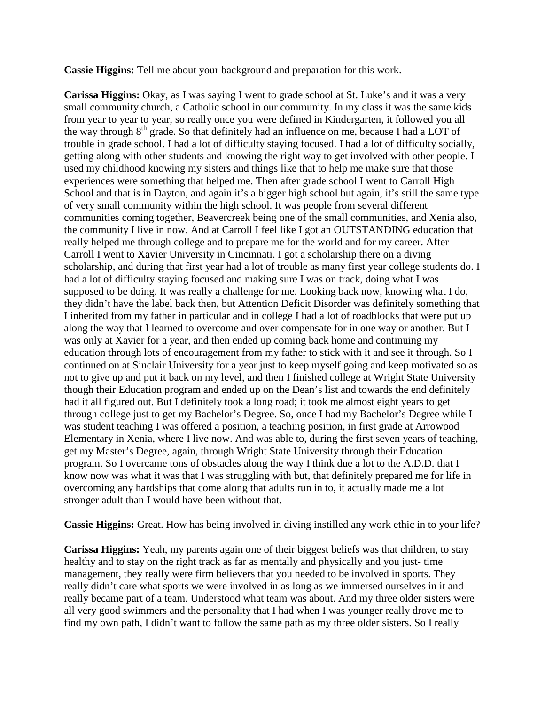**Cassie Higgins:** Tell me about your background and preparation for this work.

**Carissa Higgins:** Okay, as I was saying I went to grade school at St. Luke's and it was a very small community church, a Catholic school in our community. In my class it was the same kids from year to year to year, so really once you were defined in Kindergarten, it followed you all the way through  $8<sup>th</sup>$  grade. So that definitely had an influence on me, because I had a LOT of trouble in grade school. I had a lot of difficulty staying focused. I had a lot of difficulty socially, getting along with other students and knowing the right way to get involved with other people. I used my childhood knowing my sisters and things like that to help me make sure that those experiences were something that helped me. Then after grade school I went to Carroll High School and that is in Dayton, and again it's a bigger high school but again, it's still the same type of very small community within the high school. It was people from several different communities coming together, Beavercreek being one of the small communities, and Xenia also, the community I live in now. And at Carroll I feel like I got an OUTSTANDING education that really helped me through college and to prepare me for the world and for my career. After Carroll I went to Xavier University in Cincinnati. I got a scholarship there on a diving scholarship, and during that first year had a lot of trouble as many first year college students do. I had a lot of difficulty staying focused and making sure I was on track, doing what I was supposed to be doing. It was really a challenge for me. Looking back now, knowing what I do, they didn't have the label back then, but Attention Deficit Disorder was definitely something that I inherited from my father in particular and in college I had a lot of roadblocks that were put up along the way that I learned to overcome and over compensate for in one way or another. But I was only at Xavier for a year, and then ended up coming back home and continuing my education through lots of encouragement from my father to stick with it and see it through. So I continued on at Sinclair University for a year just to keep myself going and keep motivated so as not to give up and put it back on my level, and then I finished college at Wright State University though their Education program and ended up on the Dean's list and towards the end definitely had it all figured out. But I definitely took a long road; it took me almost eight years to get through college just to get my Bachelor's Degree. So, once I had my Bachelor's Degree while I was student teaching I was offered a position, a teaching position, in first grade at Arrowood Elementary in Xenia, where I live now. And was able to, during the first seven years of teaching, get my Master's Degree, again, through Wright State University through their Education program. So I overcame tons of obstacles along the way I think due a lot to the A.D.D. that I know now was what it was that I was struggling with but, that definitely prepared me for life in overcoming any hardships that come along that adults run in to, it actually made me a lot stronger adult than I would have been without that.

**Cassie Higgins:** Great. How has being involved in diving instilled any work ethic in to your life?

**Carissa Higgins:** Yeah, my parents again one of their biggest beliefs was that children, to stay healthy and to stay on the right track as far as mentally and physically and you just- time management, they really were firm believers that you needed to be involved in sports. They really didn't care what sports we were involved in as long as we immersed ourselves in it and really became part of a team. Understood what team was about. And my three older sisters were all very good swimmers and the personality that I had when I was younger really drove me to find my own path, I didn't want to follow the same path as my three older sisters. So I really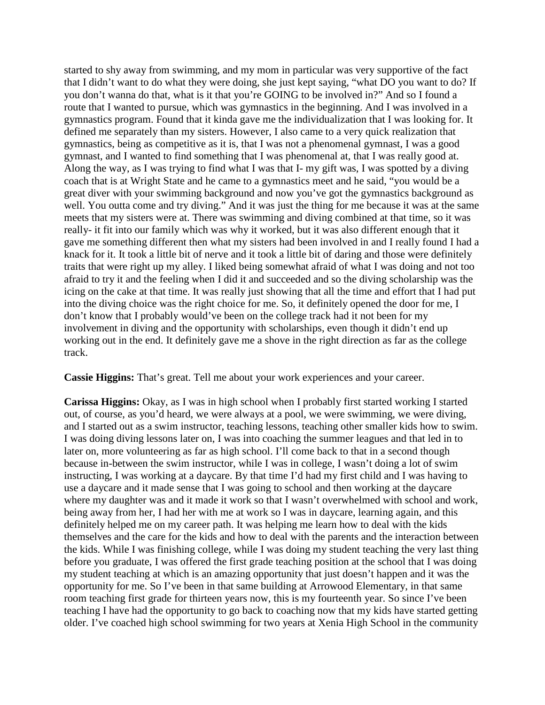started to shy away from swimming, and my mom in particular was very supportive of the fact that I didn't want to do what they were doing, she just kept saying, "what DO you want to do? If you don't wanna do that, what is it that you're GOING to be involved in?" And so I found a route that I wanted to pursue, which was gymnastics in the beginning. And I was involved in a gymnastics program. Found that it kinda gave me the individualization that I was looking for. It defined me separately than my sisters. However, I also came to a very quick realization that gymnastics, being as competitive as it is, that I was not a phenomenal gymnast, I was a good gymnast, and I wanted to find something that I was phenomenal at, that I was really good at. Along the way, as I was trying to find what I was that I- my gift was, I was spotted by a diving coach that is at Wright State and he came to a gymnastics meet and he said, "you would be a great diver with your swimming background and now you've got the gymnastics background as well. You outta come and try diving." And it was just the thing for me because it was at the same meets that my sisters were at. There was swimming and diving combined at that time, so it was really- it fit into our family which was why it worked, but it was also different enough that it gave me something different then what my sisters had been involved in and I really found I had a knack for it. It took a little bit of nerve and it took a little bit of daring and those were definitely traits that were right up my alley. I liked being somewhat afraid of what I was doing and not too afraid to try it and the feeling when I did it and succeeded and so the diving scholarship was the icing on the cake at that time. It was really just showing that all the time and effort that I had put into the diving choice was the right choice for me. So, it definitely opened the door for me, I don't know that I probably would've been on the college track had it not been for my involvement in diving and the opportunity with scholarships, even though it didn't end up working out in the end. It definitely gave me a shove in the right direction as far as the college track.

**Cassie Higgins:** That's great. Tell me about your work experiences and your career.

**Carissa Higgins:** Okay, as I was in high school when I probably first started working I started out, of course, as you'd heard, we were always at a pool, we were swimming, we were diving, and I started out as a swim instructor, teaching lessons, teaching other smaller kids how to swim. I was doing diving lessons later on, I was into coaching the summer leagues and that led in to later on, more volunteering as far as high school. I'll come back to that in a second though because in-between the swim instructor, while I was in college, I wasn't doing a lot of swim instructing, I was working at a daycare. By that time I'd had my first child and I was having to use a daycare and it made sense that I was going to school and then working at the daycare where my daughter was and it made it work so that I wasn't overwhelmed with school and work, being away from her, I had her with me at work so I was in daycare, learning again, and this definitely helped me on my career path. It was helping me learn how to deal with the kids themselves and the care for the kids and how to deal with the parents and the interaction between the kids. While I was finishing college, while I was doing my student teaching the very last thing before you graduate, I was offered the first grade teaching position at the school that I was doing my student teaching at which is an amazing opportunity that just doesn't happen and it was the opportunity for me. So I've been in that same building at Arrowood Elementary, in that same room teaching first grade for thirteen years now, this is my fourteenth year. So since I've been teaching I have had the opportunity to go back to coaching now that my kids have started getting older. I've coached high school swimming for two years at Xenia High School in the community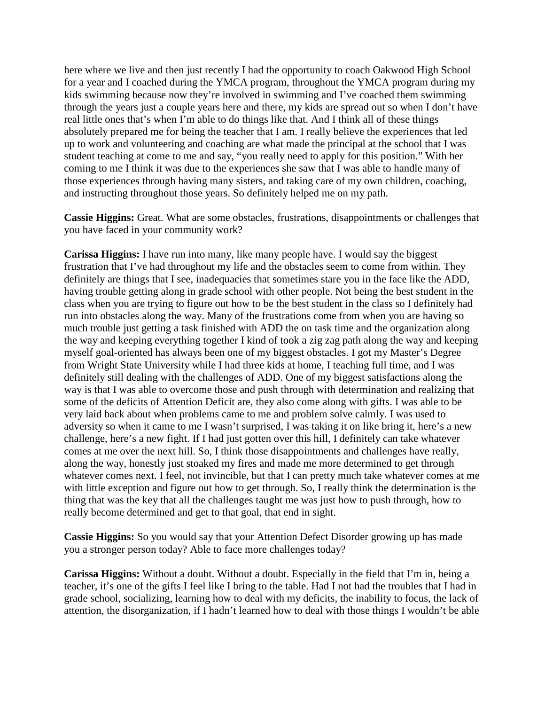here where we live and then just recently I had the opportunity to coach Oakwood High School for a year and I coached during the YMCA program, throughout the YMCA program during my kids swimming because now they're involved in swimming and I've coached them swimming through the years just a couple years here and there, my kids are spread out so when I don't have real little ones that's when I'm able to do things like that. And I think all of these things absolutely prepared me for being the teacher that I am. I really believe the experiences that led up to work and volunteering and coaching are what made the principal at the school that I was student teaching at come to me and say, "you really need to apply for this position." With her coming to me I think it was due to the experiences she saw that I was able to handle many of those experiences through having many sisters, and taking care of my own children, coaching, and instructing throughout those years. So definitely helped me on my path.

**Cassie Higgins:** Great. What are some obstacles, frustrations, disappointments or challenges that you have faced in your community work?

**Carissa Higgins:** I have run into many, like many people have. I would say the biggest frustration that I've had throughout my life and the obstacles seem to come from within. They definitely are things that I see, inadequacies that sometimes stare you in the face like the ADD, having trouble getting along in grade school with other people. Not being the best student in the class when you are trying to figure out how to be the best student in the class so I definitely had run into obstacles along the way. Many of the frustrations come from when you are having so much trouble just getting a task finished with ADD the on task time and the organization along the way and keeping everything together I kind of took a zig zag path along the way and keeping myself goal-oriented has always been one of my biggest obstacles. I got my Master's Degree from Wright State University while I had three kids at home, I teaching full time, and I was definitely still dealing with the challenges of ADD. One of my biggest satisfactions along the way is that I was able to overcome those and push through with determination and realizing that some of the deficits of Attention Deficit are, they also come along with gifts. I was able to be very laid back about when problems came to me and problem solve calmly. I was used to adversity so when it came to me I wasn't surprised, I was taking it on like bring it, here's a new challenge, here's a new fight. If I had just gotten over this hill, I definitely can take whatever comes at me over the next hill. So, I think those disappointments and challenges have really, along the way, honestly just stoaked my fires and made me more determined to get through whatever comes next. I feel, not invincible, but that I can pretty much take whatever comes at me with little exception and figure out how to get through. So, I really think the determination is the thing that was the key that all the challenges taught me was just how to push through, how to really become determined and get to that goal, that end in sight.

**Cassie Higgins:** So you would say that your Attention Defect Disorder growing up has made you a stronger person today? Able to face more challenges today?

**Carissa Higgins:** Without a doubt. Without a doubt. Especially in the field that I'm in, being a teacher, it's one of the gifts I feel like I bring to the table. Had I not had the troubles that I had in grade school, socializing, learning how to deal with my deficits, the inability to focus, the lack of attention, the disorganization, if I hadn't learned how to deal with those things I wouldn't be able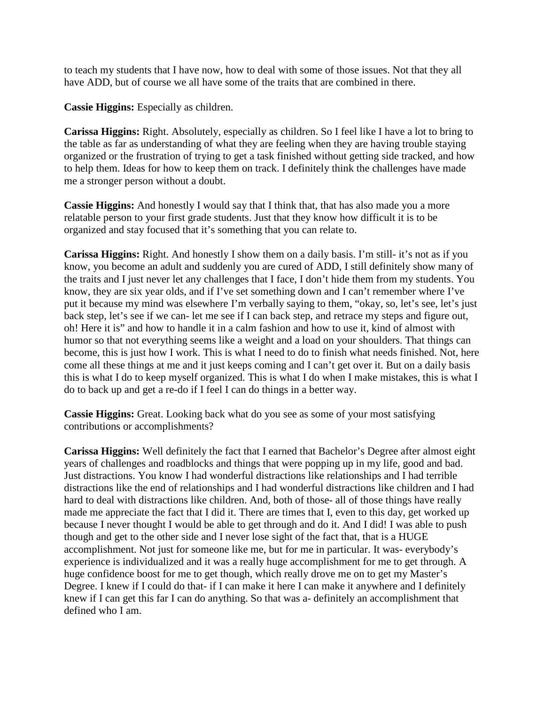to teach my students that I have now, how to deal with some of those issues. Not that they all have ADD, but of course we all have some of the traits that are combined in there.

**Cassie Higgins:** Especially as children.

**Carissa Higgins:** Right. Absolutely, especially as children. So I feel like I have a lot to bring to the table as far as understanding of what they are feeling when they are having trouble staying organized or the frustration of trying to get a task finished without getting side tracked, and how to help them. Ideas for how to keep them on track. I definitely think the challenges have made me a stronger person without a doubt.

**Cassie Higgins:** And honestly I would say that I think that, that has also made you a more relatable person to your first grade students. Just that they know how difficult it is to be organized and stay focused that it's something that you can relate to.

**Carissa Higgins:** Right. And honestly I show them on a daily basis. I'm still- it's not as if you know, you become an adult and suddenly you are cured of ADD, I still definitely show many of the traits and I just never let any challenges that I face, I don't hide them from my students. You know, they are six year olds, and if I've set something down and I can't remember where I've put it because my mind was elsewhere I'm verbally saying to them, "okay, so, let's see, let's just back step, let's see if we can- let me see if I can back step, and retrace my steps and figure out, oh! Here it is" and how to handle it in a calm fashion and how to use it, kind of almost with humor so that not everything seems like a weight and a load on your shoulders. That things can become, this is just how I work. This is what I need to do to finish what needs finished. Not, here come all these things at me and it just keeps coming and I can't get over it. But on a daily basis this is what I do to keep myself organized. This is what I do when I make mistakes, this is what I do to back up and get a re-do if I feel I can do things in a better way.

**Cassie Higgins:** Great. Looking back what do you see as some of your most satisfying contributions or accomplishments?

**Carissa Higgins:** Well definitely the fact that I earned that Bachelor's Degree after almost eight years of challenges and roadblocks and things that were popping up in my life, good and bad. Just distractions. You know I had wonderful distractions like relationships and I had terrible distractions like the end of relationships and I had wonderful distractions like children and I had hard to deal with distractions like children. And, both of those- all of those things have really made me appreciate the fact that I did it. There are times that I, even to this day, get worked up because I never thought I would be able to get through and do it. And I did! I was able to push though and get to the other side and I never lose sight of the fact that, that is a HUGE accomplishment. Not just for someone like me, but for me in particular. It was- everybody's experience is individualized and it was a really huge accomplishment for me to get through. A huge confidence boost for me to get though, which really drove me on to get my Master's Degree. I knew if I could do that- if I can make it here I can make it anywhere and I definitely knew if I can get this far I can do anything. So that was a- definitely an accomplishment that defined who I am.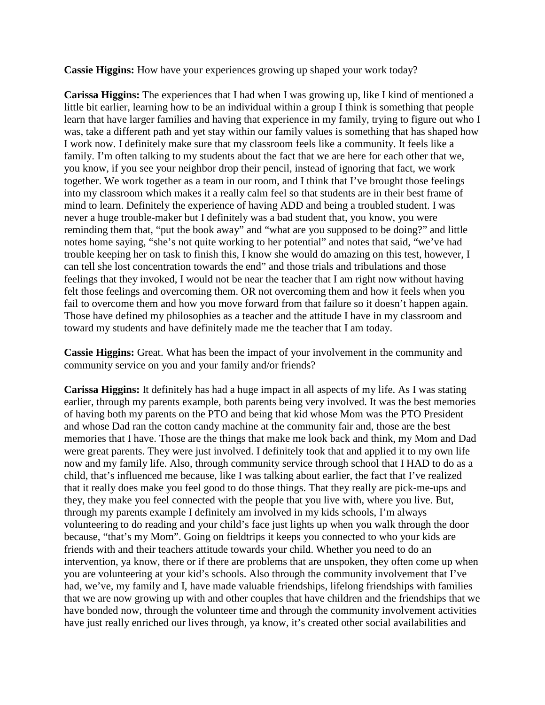**Cassie Higgins:** How have your experiences growing up shaped your work today?

**Carissa Higgins:** The experiences that I had when I was growing up, like I kind of mentioned a little bit earlier, learning how to be an individual within a group I think is something that people learn that have larger families and having that experience in my family, trying to figure out who I was, take a different path and yet stay within our family values is something that has shaped how I work now. I definitely make sure that my classroom feels like a community. It feels like a family. I'm often talking to my students about the fact that we are here for each other that we, you know, if you see your neighbor drop their pencil, instead of ignoring that fact, we work together. We work together as a team in our room, and I think that I've brought those feelings into my classroom which makes it a really calm feel so that students are in their best frame of mind to learn. Definitely the experience of having ADD and being a troubled student. I was never a huge trouble-maker but I definitely was a bad student that, you know, you were reminding them that, "put the book away" and "what are you supposed to be doing?" and little notes home saying, "she's not quite working to her potential" and notes that said, "we've had trouble keeping her on task to finish this, I know she would do amazing on this test, however, I can tell she lost concentration towards the end" and those trials and tribulations and those feelings that they invoked, I would not be near the teacher that I am right now without having felt those feelings and overcoming them. OR not overcoming them and how it feels when you fail to overcome them and how you move forward from that failure so it doesn't happen again. Those have defined my philosophies as a teacher and the attitude I have in my classroom and toward my students and have definitely made me the teacher that I am today.

**Cassie Higgins:** Great. What has been the impact of your involvement in the community and community service on you and your family and/or friends?

**Carissa Higgins:** It definitely has had a huge impact in all aspects of my life. As I was stating earlier, through my parents example, both parents being very involved. It was the best memories of having both my parents on the PTO and being that kid whose Mom was the PTO President and whose Dad ran the cotton candy machine at the community fair and, those are the best memories that I have. Those are the things that make me look back and think, my Mom and Dad were great parents. They were just involved. I definitely took that and applied it to my own life now and my family life. Also, through community service through school that I HAD to do as a child, that's influenced me because, like I was talking about earlier, the fact that I've realized that it really does make you feel good to do those things. That they really are pick-me-ups and they, they make you feel connected with the people that you live with, where you live. But, through my parents example I definitely am involved in my kids schools, I'm always volunteering to do reading and your child's face just lights up when you walk through the door because, "that's my Mom". Going on fieldtrips it keeps you connected to who your kids are friends with and their teachers attitude towards your child. Whether you need to do an intervention, ya know, there or if there are problems that are unspoken, they often come up when you are volunteering at your kid's schools. Also through the community involvement that I've had, we've, my family and I, have made valuable friendships, lifelong friendships with families that we are now growing up with and other couples that have children and the friendships that we have bonded now, through the volunteer time and through the community involvement activities have just really enriched our lives through, ya know, it's created other social availabilities and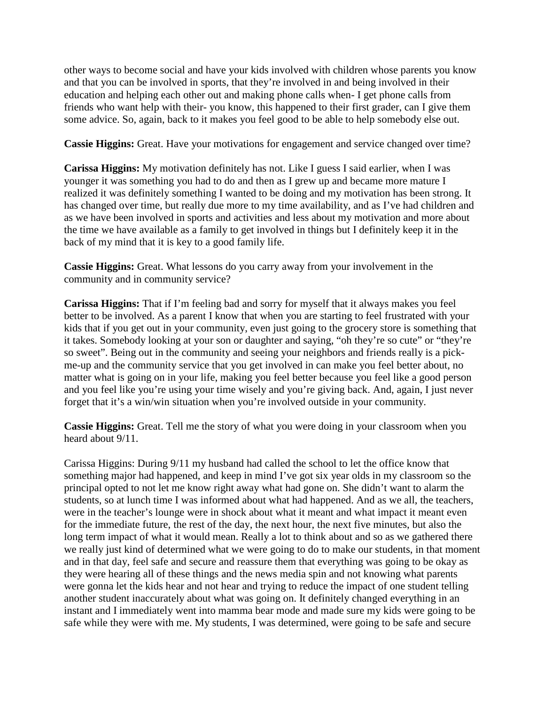other ways to become social and have your kids involved with children whose parents you know and that you can be involved in sports, that they're involved in and being involved in their education and helping each other out and making phone calls when- I get phone calls from friends who want help with their- you know, this happened to their first grader, can I give them some advice. So, again, back to it makes you feel good to be able to help somebody else out.

**Cassie Higgins:** Great. Have your motivations for engagement and service changed over time?

**Carissa Higgins:** My motivation definitely has not. Like I guess I said earlier, when I was younger it was something you had to do and then as I grew up and became more mature I realized it was definitely something I wanted to be doing and my motivation has been strong. It has changed over time, but really due more to my time availability, and as I've had children and as we have been involved in sports and activities and less about my motivation and more about the time we have available as a family to get involved in things but I definitely keep it in the back of my mind that it is key to a good family life.

**Cassie Higgins:** Great. What lessons do you carry away from your involvement in the community and in community service?

**Carissa Higgins:** That if I'm feeling bad and sorry for myself that it always makes you feel better to be involved. As a parent I know that when you are starting to feel frustrated with your kids that if you get out in your community, even just going to the grocery store is something that it takes. Somebody looking at your son or daughter and saying, "oh they're so cute" or "they're so sweet". Being out in the community and seeing your neighbors and friends really is a pickme-up and the community service that you get involved in can make you feel better about, no matter what is going on in your life, making you feel better because you feel like a good person and you feel like you're using your time wisely and you're giving back. And, again, I just never forget that it's a win/win situation when you're involved outside in your community.

**Cassie Higgins:** Great. Tell me the story of what you were doing in your classroom when you heard about 9/11.

Carissa Higgins: During 9/11 my husband had called the school to let the office know that something major had happened, and keep in mind I've got six year olds in my classroom so the principal opted to not let me know right away what had gone on. She didn't want to alarm the students, so at lunch time I was informed about what had happened. And as we all, the teachers, were in the teacher's lounge were in shock about what it meant and what impact it meant even for the immediate future, the rest of the day, the next hour, the next five minutes, but also the long term impact of what it would mean. Really a lot to think about and so as we gathered there we really just kind of determined what we were going to do to make our students, in that moment and in that day, feel safe and secure and reassure them that everything was going to be okay as they were hearing all of these things and the news media spin and not knowing what parents were gonna let the kids hear and not hear and trying to reduce the impact of one student telling another student inaccurately about what was going on. It definitely changed everything in an instant and I immediately went into mamma bear mode and made sure my kids were going to be safe while they were with me. My students, I was determined, were going to be safe and secure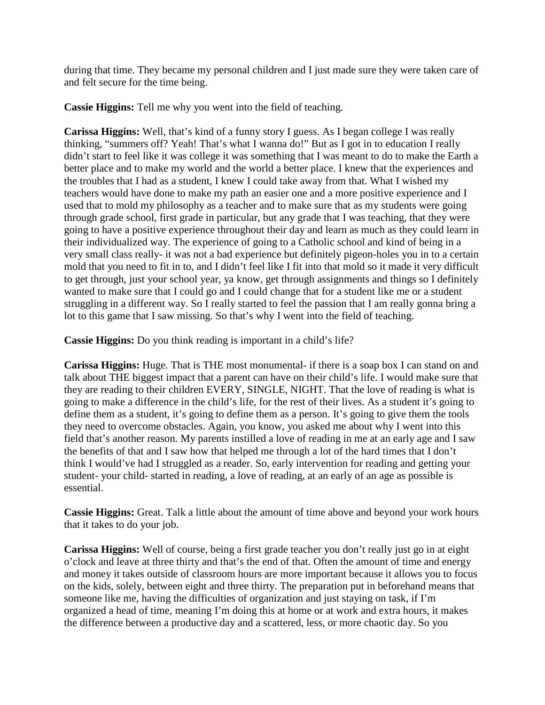during that time. They became my personal children and I just made sure they were taken care of and felt secure for the time being.

**Cassie Higgins:** Tell me why you went into the field of teaching.

**Carissa Higgins:** Well, that's kind of a funny story I guess. As I began college I was really thinking, "summers off? Yeah! That's what I wanna do!" But as I got in to education I really didn't start to feel like it was college it was something that I was meant to do to make the Earth a better place and to make my world and the world a better place. I knew that the experiences and the troubles that I had as a student, I knew I could take away from that. What I wished my teachers would have done to make my path an easier one and a more positive experience and I used that to mold my philosophy as a teacher and to make sure that as my students were going through grade school, first grade in particular, but any grade that I was teaching, that they were going to have a positive experience throughout their day and learn as much as they could learn in their individualized way. The experience of going to a Catholic school and kind of being in a very small class really- it was not a bad experience but definitely pigeon-holes you in to a certain mold that you need to fit in to, and I didn't feel like I fit into that mold so it made it very difficult to get through, just your school year, ya know, get through assignments and things so I definitely wanted to make sure that I could go and I could change that for a student like me or a student struggling in a different way. So I really started to feel the passion that I am really gonna bring a lot to this game that I saw missing. So that's why I went into the field of teaching.

**Cassie Higgins:** Do you think reading is important in a child's life?

**Carissa Higgins:** Huge. That is THE most monumental- if there is a soap box I can stand on and talk about THE biggest impact that a parent can have on their child's life. I would make sure that they are reading to their children EVERY, SINGLE, NIGHT. That the love of reading is what is going to make a difference in the child's life, for the rest of their lives. As a student it's going to define them as a student, it's going to define them as a person. It's going to give them the tools they need to overcome obstacles. Again, you know, you asked me about why I went into this field that's another reason. My parents instilled a love of reading in me at an early age and I saw the benefits of that and I saw how that helped me through a lot of the hard times that I don't think I would've had I struggled as a reader. So, early intervention for reading and getting your student- your child- started in reading, a love of reading, at an early of an age as possible is essential.

**Cassie Higgins:** Great. Talk a little about the amount of time above and beyond your work hours that it takes to do your job.

**Carissa Higgins:** Well of course, being a first grade teacher you don't really just go in at eight o'clock and leave at three thirty and that's the end of that. Often the amount of time and energy and money it takes outside of classroom hours are more important because it allows you to focus on the kids, solely, between eight and three thirty. The preparation put in beforehand means that someone like me, having the difficulties of organization and just staying on task, if I'm organized a head of time, meaning I'm doing this at home or at work and extra hours, it makes the difference between a productive day and a scattered, less, or more chaotic day. So you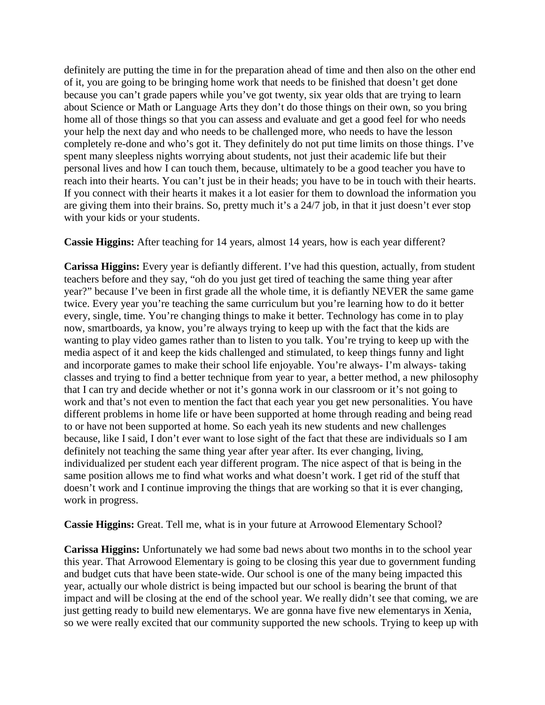definitely are putting the time in for the preparation ahead of time and then also on the other end of it, you are going to be bringing home work that needs to be finished that doesn't get done because you can't grade papers while you've got twenty, six year olds that are trying to learn about Science or Math or Language Arts they don't do those things on their own, so you bring home all of those things so that you can assess and evaluate and get a good feel for who needs your help the next day and who needs to be challenged more, who needs to have the lesson completely re-done and who's got it. They definitely do not put time limits on those things. I've spent many sleepless nights worrying about students, not just their academic life but their personal lives and how I can touch them, because, ultimately to be a good teacher you have to reach into their hearts. You can't just be in their heads; you have to be in touch with their hearts. If you connect with their hearts it makes it a lot easier for them to download the information you are giving them into their brains. So, pretty much it's a 24/7 job, in that it just doesn't ever stop with your kids or your students.

**Cassie Higgins:** After teaching for 14 years, almost 14 years, how is each year different?

**Carissa Higgins:** Every year is defiantly different. I've had this question, actually, from student teachers before and they say, "oh do you just get tired of teaching the same thing year after year?" because I've been in first grade all the whole time, it is defiantly NEVER the same game twice. Every year you're teaching the same curriculum but you're learning how to do it better every, single, time. You're changing things to make it better. Technology has come in to play now, smartboards, ya know, you're always trying to keep up with the fact that the kids are wanting to play video games rather than to listen to you talk. You're trying to keep up with the media aspect of it and keep the kids challenged and stimulated, to keep things funny and light and incorporate games to make their school life enjoyable. You're always- I'm always- taking classes and trying to find a better technique from year to year, a better method, a new philosophy that I can try and decide whether or not it's gonna work in our classroom or it's not going to work and that's not even to mention the fact that each year you get new personalities. You have different problems in home life or have been supported at home through reading and being read to or have not been supported at home. So each yeah its new students and new challenges because, like I said, I don't ever want to lose sight of the fact that these are individuals so I am definitely not teaching the same thing year after year after. Its ever changing, living, individualized per student each year different program. The nice aspect of that is being in the same position allows me to find what works and what doesn't work. I get rid of the stuff that doesn't work and I continue improving the things that are working so that it is ever changing, work in progress.

**Cassie Higgins:** Great. Tell me, what is in your future at Arrowood Elementary School?

**Carissa Higgins:** Unfortunately we had some bad news about two months in to the school year this year. That Arrowood Elementary is going to be closing this year due to government funding and budget cuts that have been state-wide. Our school is one of the many being impacted this year, actually our whole district is being impacted but our school is bearing the brunt of that impact and will be closing at the end of the school year. We really didn't see that coming, we are just getting ready to build new elementarys. We are gonna have five new elementarys in Xenia, so we were really excited that our community supported the new schools. Trying to keep up with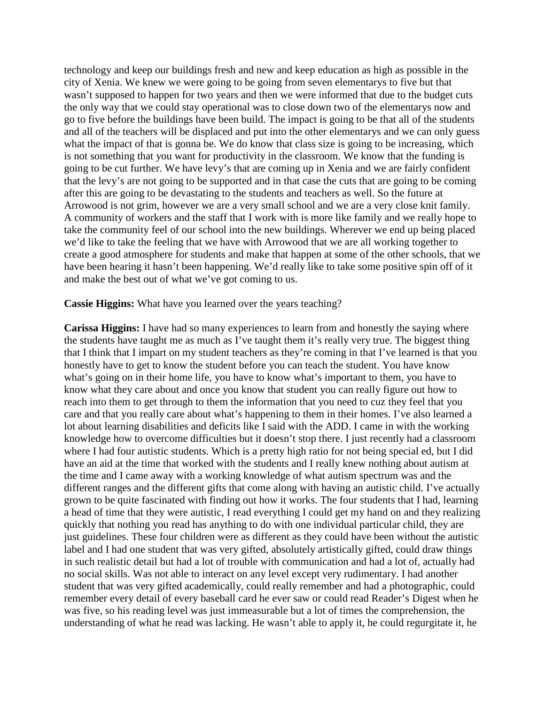technology and keep our buildings fresh and new and keep education as high as possible in the city of Xenia. We knew we were going to be going from seven elementarys to five but that wasn't supposed to happen for two years and then we were informed that due to the budget cuts the only way that we could stay operational was to close down two of the elementarys now and go to five before the buildings have been build. The impact is going to be that all of the students and all of the teachers will be displaced and put into the other elementarys and we can only guess what the impact of that is gonna be. We do know that class size is going to be increasing, which is not something that you want for productivity in the classroom. We know that the funding is going to be cut further. We have levy's that are coming up in Xenia and we are fairly confident that the levy's are not going to be supported and in that case the cuts that are going to be coming after this are going to be devastating to the students and teachers as well. So the future at Arrowood is not grim, however we are a very small school and we are a very close knit family. A community of workers and the staff that I work with is more like family and we really hope to take the community feel of our school into the new buildings. Wherever we end up being placed we'd like to take the feeling that we have with Arrowood that we are all working together to create a good atmosphere for students and make that happen at some of the other schools, that we have been hearing it hasn't been happening. We'd really like to take some positive spin off of it and make the best out of what we've got coming to us.

**Cassie Higgins:** What have you learned over the years teaching?

**Carissa Higgins:** I have had so many experiences to learn from and honestly the saying where the students have taught me as much as I've taught them it's really very true. The biggest thing that I think that I impart on my student teachers as they're coming in that I've learned is that you honestly have to get to know the student before you can teach the student. You have know what's going on in their home life, you have to know what's important to them, you have to know what they care about and once you know that student you can really figure out how to reach into them to get through to them the information that you need to cuz they feel that you care and that you really care about what's happening to them in their homes. I've also learned a lot about learning disabilities and deficits like I said with the ADD. I came in with the working knowledge how to overcome difficulties but it doesn't stop there. I just recently had a classroom where I had four autistic students. Which is a pretty high ratio for not being special ed, but I did have an aid at the time that worked with the students and I really knew nothing about autism at the time and I came away with a working knowledge of what autism spectrum was and the different ranges and the different gifts that come along with having an autistic child. I've actually grown to be quite fascinated with finding out how it works. The four students that I had, learning a head of time that they were autistic, I read everything I could get my hand on and they realizing quickly that nothing you read has anything to do with one individual particular child, they are just guidelines. These four children were as different as they could have been without the autistic label and I had one student that was very gifted, absolutely artistically gifted, could draw things in such realistic detail but had a lot of trouble with communication and had a lot of, actually had no social skills. Was not able to interact on any level except very rudimentary. I had another student that was very gifted academically, could really remember and had a photographic, could remember every detail of every baseball card he ever saw or could read Reader's Digest when he was five, so his reading level was just immeasurable but a lot of times the comprehension, the understanding of what he read was lacking. He wasn't able to apply it, he could regurgitate it, he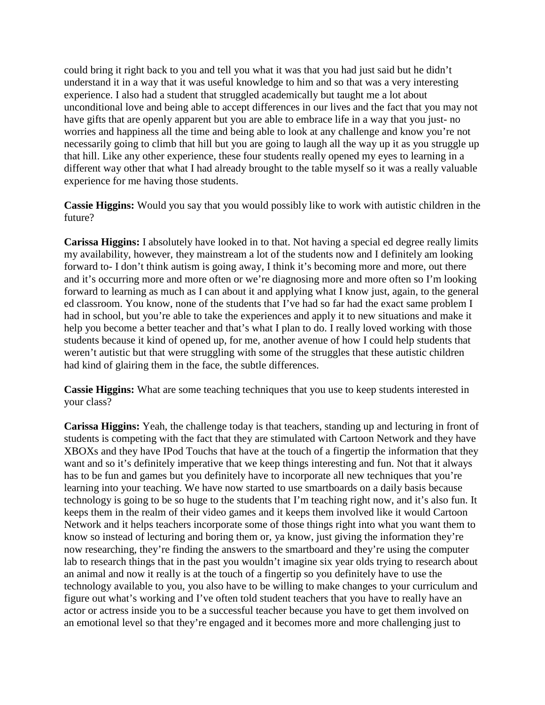could bring it right back to you and tell you what it was that you had just said but he didn't understand it in a way that it was useful knowledge to him and so that was a very interesting experience. I also had a student that struggled academically but taught me a lot about unconditional love and being able to accept differences in our lives and the fact that you may not have gifts that are openly apparent but you are able to embrace life in a way that you just- no worries and happiness all the time and being able to look at any challenge and know you're not necessarily going to climb that hill but you are going to laugh all the way up it as you struggle up that hill. Like any other experience, these four students really opened my eyes to learning in a different way other that what I had already brought to the table myself so it was a really valuable experience for me having those students.

**Cassie Higgins:** Would you say that you would possibly like to work with autistic children in the future?

**Carissa Higgins:** I absolutely have looked in to that. Not having a special ed degree really limits my availability, however, they mainstream a lot of the students now and I definitely am looking forward to- I don't think autism is going away, I think it's becoming more and more, out there and it's occurring more and more often or we're diagnosing more and more often so I'm looking forward to learning as much as I can about it and applying what I know just, again, to the general ed classroom. You know, none of the students that I've had so far had the exact same problem I had in school, but you're able to take the experiences and apply it to new situations and make it help you become a better teacher and that's what I plan to do. I really loved working with those students because it kind of opened up, for me, another avenue of how I could help students that weren't autistic but that were struggling with some of the struggles that these autistic children had kind of glairing them in the face, the subtle differences.

**Cassie Higgins:** What are some teaching techniques that you use to keep students interested in your class?

**Carissa Higgins:** Yeah, the challenge today is that teachers, standing up and lecturing in front of students is competing with the fact that they are stimulated with Cartoon Network and they have XBOXs and they have IPod Touchs that have at the touch of a fingertip the information that they want and so it's definitely imperative that we keep things interesting and fun. Not that it always has to be fun and games but you definitely have to incorporate all new techniques that you're learning into your teaching. We have now started to use smartboards on a daily basis because technology is going to be so huge to the students that I'm teaching right now, and it's also fun. It keeps them in the realm of their video games and it keeps them involved like it would Cartoon Network and it helps teachers incorporate some of those things right into what you want them to know so instead of lecturing and boring them or, ya know, just giving the information they're now researching, they're finding the answers to the smartboard and they're using the computer lab to research things that in the past you wouldn't imagine six year olds trying to research about an animal and now it really is at the touch of a fingertip so you definitely have to use the technology available to you, you also have to be willing to make changes to your curriculum and figure out what's working and I've often told student teachers that you have to really have an actor or actress inside you to be a successful teacher because you have to get them involved on an emotional level so that they're engaged and it becomes more and more challenging just to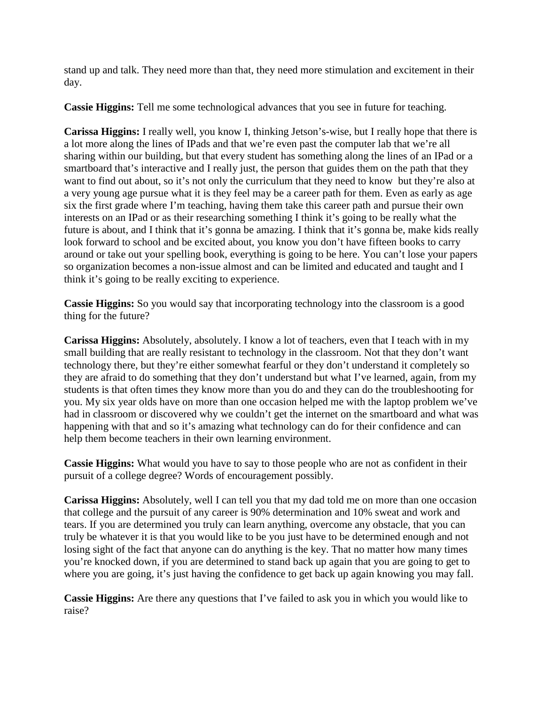stand up and talk. They need more than that, they need more stimulation and excitement in their day.

**Cassie Higgins:** Tell me some technological advances that you see in future for teaching.

**Carissa Higgins:** I really well, you know I, thinking Jetson's-wise, but I really hope that there is a lot more along the lines of IPads and that we're even past the computer lab that we're all sharing within our building, but that every student has something along the lines of an IPad or a smartboard that's interactive and I really just, the person that guides them on the path that they want to find out about, so it's not only the curriculum that they need to know but they're also at a very young age pursue what it is they feel may be a career path for them. Even as early as age six the first grade where I'm teaching, having them take this career path and pursue their own interests on an IPad or as their researching something I think it's going to be really what the future is about, and I think that it's gonna be amazing. I think that it's gonna be, make kids really look forward to school and be excited about, you know you don't have fifteen books to carry around or take out your spelling book, everything is going to be here. You can't lose your papers so organization becomes a non-issue almost and can be limited and educated and taught and I think it's going to be really exciting to experience.

**Cassie Higgins:** So you would say that incorporating technology into the classroom is a good thing for the future?

**Carissa Higgins:** Absolutely, absolutely. I know a lot of teachers, even that I teach with in my small building that are really resistant to technology in the classroom. Not that they don't want technology there, but they're either somewhat fearful or they don't understand it completely so they are afraid to do something that they don't understand but what I've learned, again, from my students is that often times they know more than you do and they can do the troubleshooting for you. My six year olds have on more than one occasion helped me with the laptop problem we've had in classroom or discovered why we couldn't get the internet on the smartboard and what was happening with that and so it's amazing what technology can do for their confidence and can help them become teachers in their own learning environment.

**Cassie Higgins:** What would you have to say to those people who are not as confident in their pursuit of a college degree? Words of encouragement possibly.

**Carissa Higgins:** Absolutely, well I can tell you that my dad told me on more than one occasion that college and the pursuit of any career is 90% determination and 10% sweat and work and tears. If you are determined you truly can learn anything, overcome any obstacle, that you can truly be whatever it is that you would like to be you just have to be determined enough and not losing sight of the fact that anyone can do anything is the key. That no matter how many times you're knocked down, if you are determined to stand back up again that you are going to get to where you are going, it's just having the confidence to get back up again knowing you may fall.

**Cassie Higgins:** Are there any questions that I've failed to ask you in which you would like to raise?